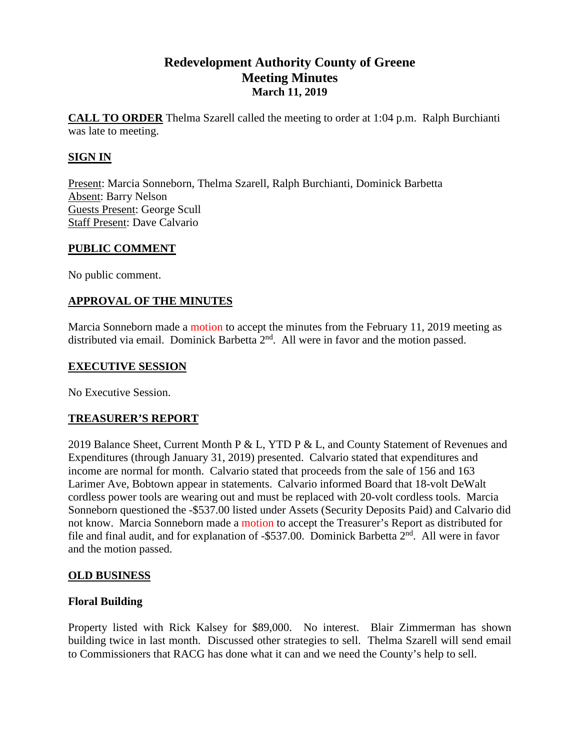# **Redevelopment Authority County of Greene Meeting Minutes March 11, 2019**

**CALL TO ORDER** Thelma Szarell called the meeting to order at 1:04 p.m. Ralph Burchianti was late to meeting.

## **SIGN IN**

Present: Marcia Sonneborn, Thelma Szarell, Ralph Burchianti, Dominick Barbetta Absent: Barry Nelson Guests Present: George Scull Staff Present: Dave Calvario

### **PUBLIC COMMENT**

No public comment.

## **APPROVAL OF THE MINUTES**

Marcia Sonneborn made a motion to accept the minutes from the February 11, 2019 meeting as distributed via email. Dominick Barbetta 2<sup>nd</sup>. All were in favor and the motion passed.

### **EXECUTIVE SESSION**

No Executive Session.

## **TREASURER'S REPORT**

2019 Balance Sheet, Current Month P & L, YTD P & L, and County Statement of Revenues and Expenditures (through January 31, 2019) presented. Calvario stated that expenditures and income are normal for month. Calvario stated that proceeds from the sale of 156 and 163 Larimer Ave, Bobtown appear in statements. Calvario informed Board that 18-volt DeWalt cordless power tools are wearing out and must be replaced with 20-volt cordless tools. Marcia Sonneborn questioned the -\$537.00 listed under Assets (Security Deposits Paid) and Calvario did not know. Marcia Sonneborn made a motion to accept the Treasurer's Report as distributed for file and final audit, and for explanation of -\$537.00. Dominick Barbetta 2<sup>nd</sup>. All were in favor and the motion passed.

## **OLD BUSINESS**

## **Floral Building**

Property listed with Rick Kalsey for \$89,000. No interest. Blair Zimmerman has shown building twice in last month. Discussed other strategies to sell. Thelma Szarell will send email to Commissioners that RACG has done what it can and we need the County's help to sell.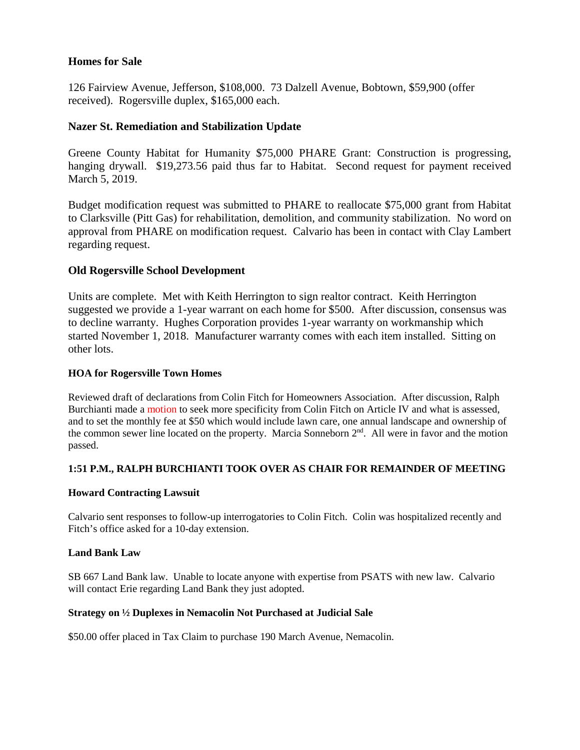#### **Homes for Sale**

126 Fairview Avenue, Jefferson, \$108,000. 73 Dalzell Avenue, Bobtown, \$59,900 (offer received). Rogersville duplex, \$165,000 each.

### **Nazer St. Remediation and Stabilization Update**

Greene County Habitat for Humanity \$75,000 PHARE Grant: Construction is progressing, hanging drywall. \$19,273.56 paid thus far to Habitat. Second request for payment received March 5, 2019.

Budget modification request was submitted to PHARE to reallocate \$75,000 grant from Habitat to Clarksville (Pitt Gas) for rehabilitation, demolition, and community stabilization. No word on approval from PHARE on modification request. Calvario has been in contact with Clay Lambert regarding request.

#### **Old Rogersville School Development**

Units are complete. Met with Keith Herrington to sign realtor contract. Keith Herrington suggested we provide a 1-year warrant on each home for \$500. After discussion, consensus was to decline warranty. Hughes Corporation provides 1-year warranty on workmanship which started November 1, 2018. Manufacturer warranty comes with each item installed. Sitting on other lots.

#### **HOA for Rogersville Town Homes**

Reviewed draft of declarations from Colin Fitch for Homeowners Association. After discussion, Ralph Burchianti made a motion to seek more specificity from Colin Fitch on Article IV and what is assessed, and to set the monthly fee at \$50 which would include lawn care, one annual landscape and ownership of the common sewer line located on the property. Marcia Sonneborn 2<sup>nd</sup>. All were in favor and the motion passed.

#### **1:51 P.M., RALPH BURCHIANTI TOOK OVER AS CHAIR FOR REMAINDER OF MEETING**

#### **Howard Contracting Lawsuit**

Calvario sent responses to follow-up interrogatories to Colin Fitch. Colin was hospitalized recently and Fitch's office asked for a 10-day extension.

#### **Land Bank Law**

SB 667 Land Bank law. Unable to locate anyone with expertise from PSATS with new law. Calvario will contact Erie regarding Land Bank they just adopted.

#### **Strategy on ½ Duplexes in Nemacolin Not Purchased at Judicial Sale**

\$50.00 offer placed in Tax Claim to purchase 190 March Avenue, Nemacolin.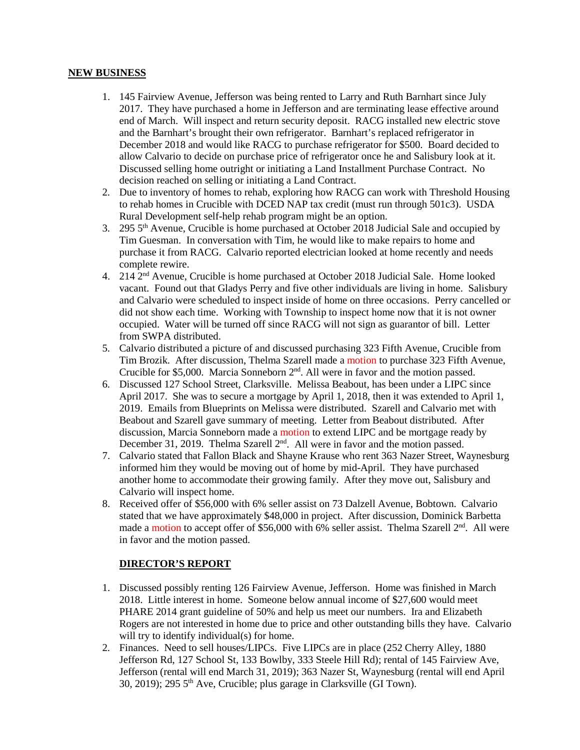#### **NEW BUSINESS**

- 1. 145 Fairview Avenue, Jefferson was being rented to Larry and Ruth Barnhart since July 2017. They have purchased a home in Jefferson and are terminating lease effective around end of March. Will inspect and return security deposit. RACG installed new electric stove and the Barnhart's brought their own refrigerator. Barnhart's replaced refrigerator in December 2018 and would like RACG to purchase refrigerator for \$500. Board decided to allow Calvario to decide on purchase price of refrigerator once he and Salisbury look at it. Discussed selling home outright or initiating a Land Installment Purchase Contract. No decision reached on selling or initiating a Land Contract.
- 2. Due to inventory of homes to rehab, exploring how RACG can work with Threshold Housing to rehab homes in Crucible with DCED NAP tax credit (must run through 501c3). USDA Rural Development self-help rehab program might be an option.
- 3. 295 5th Avenue, Crucible is home purchased at October 2018 Judicial Sale and occupied by Tim Guesman. In conversation with Tim, he would like to make repairs to home and purchase it from RACG. Calvario reported electrician looked at home recently and needs complete rewire.
- 4. 214 2nd Avenue, Crucible is home purchased at October 2018 Judicial Sale. Home looked vacant. Found out that Gladys Perry and five other individuals are living in home. Salisbury and Calvario were scheduled to inspect inside of home on three occasions. Perry cancelled or did not show each time. Working with Township to inspect home now that it is not owner occupied. Water will be turned off since RACG will not sign as guarantor of bill. Letter from SWPA distributed.
- 5. Calvario distributed a picture of and discussed purchasing 323 Fifth Avenue, Crucible from Tim Brozik. After discussion, Thelma Szarell made a motion to purchase 323 Fifth Avenue, Crucible for \$5,000. Marcia Sonneborn  $2<sup>nd</sup>$ . All were in favor and the motion passed.
- 6. Discussed 127 School Street, Clarksville. Melissa Beabout, has been under a LIPC since April 2017. She was to secure a mortgage by April 1, 2018, then it was extended to April 1, 2019. Emails from Blueprints on Melissa were distributed. Szarell and Calvario met with Beabout and Szarell gave summary of meeting. Letter from Beabout distributed. After discussion, Marcia Sonneborn made a motion to extend LIPC and be mortgage ready by December 31, 2019. Thelma Szarell 2<sup>nd</sup>. All were in favor and the motion passed.
- 7. Calvario stated that Fallon Black and Shayne Krause who rent 363 Nazer Street, Waynesburg informed him they would be moving out of home by mid-April. They have purchased another home to accommodate their growing family. After they move out, Salisbury and Calvario will inspect home.
- 8. Received offer of \$56,000 with 6% seller assist on 73 Dalzell Avenue, Bobtown. Calvario stated that we have approximately \$48,000 in project. After discussion, Dominick Barbetta made a motion to accept offer of \$56,000 with 6% seller assist. Thelma Szarell  $2<sup>nd</sup>$ . All were in favor and the motion passed.

#### **DIRECTOR'S REPORT**

- 1. Discussed possibly renting 126 Fairview Avenue, Jefferson. Home was finished in March 2018. Little interest in home. Someone below annual income of \$27,600 would meet PHARE 2014 grant guideline of 50% and help us meet our numbers. Ira and Elizabeth Rogers are not interested in home due to price and other outstanding bills they have. Calvario will try to identify individual(s) for home.
- 2. Finances. Need to sell houses/LIPCs. Five LIPCs are in place (252 Cherry Alley, 1880 Jefferson Rd, 127 School St, 133 Bowlby, 333 Steele Hill Rd); rental of 145 Fairview Ave, Jefferson (rental will end March 31, 2019); 363 Nazer St, Waynesburg (rental will end April 30, 2019); 295 5th Ave, Crucible; plus garage in Clarksville (GI Town).